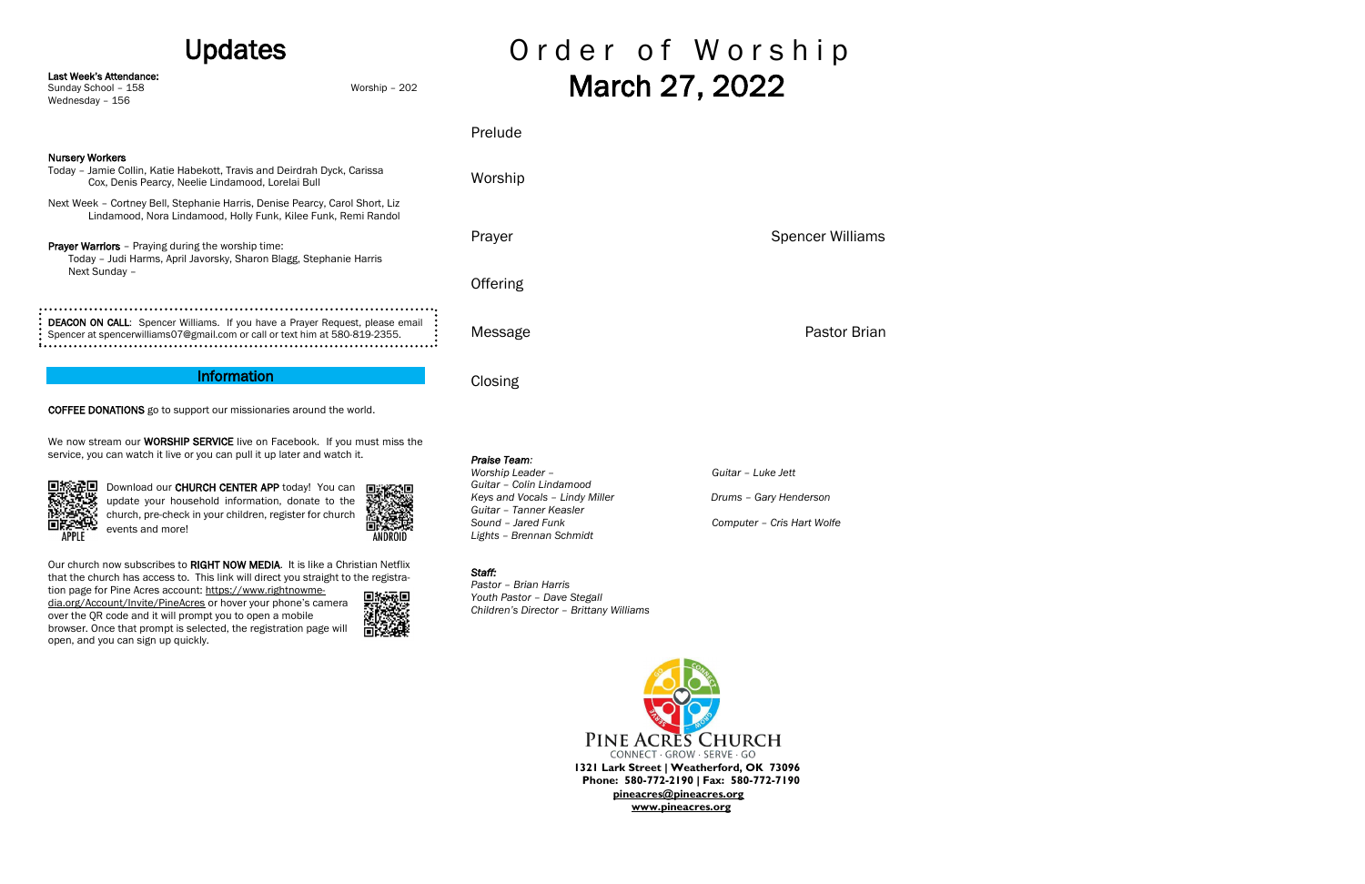## Updates

Last Week's Attendance:

Sunday School – 158 Worship – 202

Wednesday – 156

Download our CHURCH CENTER APP today! You can update your household information, donate to the church, pre-check in your children, register for church events and more!



Our church now subscribes to RIGHT NOW MEDIA. It is like a Christian Netflix that the church has access to. This link will direct you straight to the registration page for Pine Acres account: [https://www.rightnowme-](https://www.rightnowmedia.org/Account/Invite/PineAcres)

COFFEE DONATIONS go to support our missionaries around the world.

## Order of Worship March 27, 2022

Prelude Nursery Workers Today – Jamie Collin, Katie Habekott, Travis and Deirdrah Dyck, Carissa Worship Cox, Denis Pearcy, Neelie Lindamood, Lorelai Bull Next Week – Cortney Bell, Stephanie Harris, Denise Pearcy, Carol Short, Liz Lindamood, Nora Lindamood, Holly Funk, Kilee Funk, Remi Randol Prayer **Spencer Williams** Prayer Warriors - Praying during the worship time: Today – Judi Harms, April Javorsky, Sharon Blagg, Stephanie Harris Next Sunday – **Offering** DEACON ON CALL: Spencer Williams. If you have a Prayer Request, please email Message **Pastor Brian** Spencer at spencerwilliams07@gmail.com or call or text him at 580-819-2355. Information **Closing** 

We now stream our **WORSHIP SERVICE** live on Facebook. If you must miss the

service, you can watch it live or you can pull it up later and watch it.



PINE ACRES CHURCH CONNECT · GROW · SERVE · GO **1321 Lark Street | Weatherford, OK 73096 Phone: 580-772-2190 | Fax: 580-772-7190 [pineacres@pineacres.org](mailto:pineacres@pineacres.org) [www.pineacres.org](http://www.pineacres.org/)**

[dia.org/Account/Invite/PineAcres](https://www.rightnowmedia.org/Account/Invite/PineAcres) or hover your phone's camera over the QR code and it will prompt you to open a mobile browser. Once that prompt is selected, the registration page will open, and you can sign up quickly.



#### *Praise Team:*

*Worship Leader – Guitar – Luke Jett Guitar – Colin Lindamood Keys and Vocals – Lindy Miller Carry Henderson Prums – Gary Henderson Guitar – Tanner Keasler Sound – Jared Funk Computer – Cris Hart Wolfe Lights – Brennan Schmidt*

*Staff:* 

*Pastor – Brian Harris Youth Pastor – Dave Stegall*

*Children's Director – Brittany Williams*